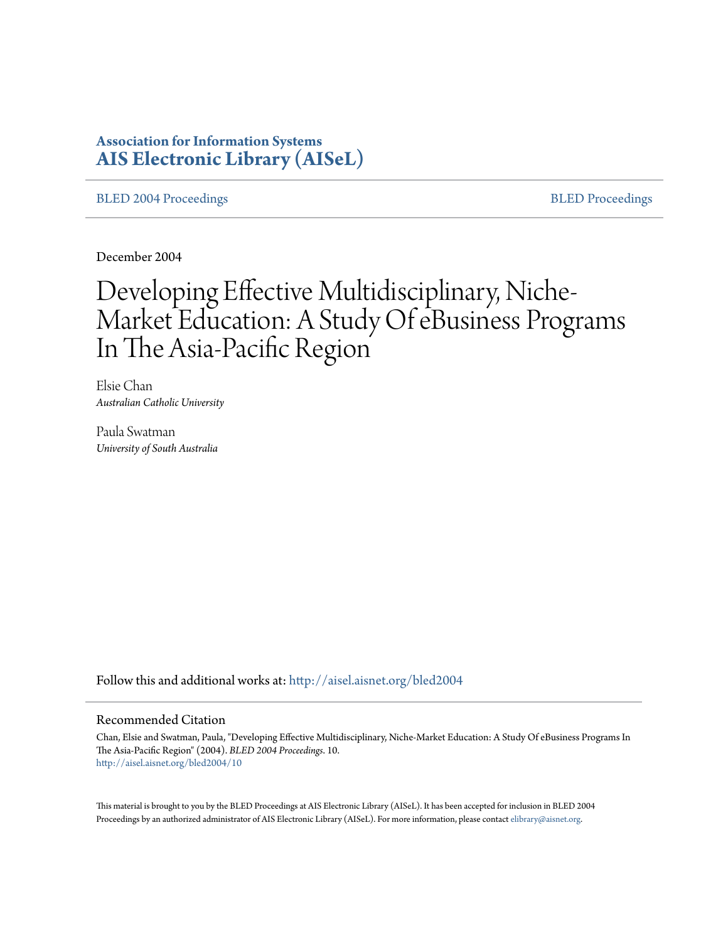# **Association for Information Systems [AIS Electronic Library \(AISeL\)](http://aisel.aisnet.org?utm_source=aisel.aisnet.org%2Fbled2004%2F10&utm_medium=PDF&utm_campaign=PDFCoverPages)**

[BLED 2004 Proceedings](http://aisel.aisnet.org/bled2004?utm_source=aisel.aisnet.org%2Fbled2004%2F10&utm_medium=PDF&utm_campaign=PDFCoverPages) and the [BLED Proceedings](http://aisel.aisnet.org/bled?utm_source=aisel.aisnet.org%2Fbled2004%2F10&utm_medium=PDF&utm_campaign=PDFCoverPages) BLED Proceedings

December 2004

# Developing Effective Multidisciplinary, Niche-Market Education: A Study Of eBusiness Programs In The Asia-Pacific Region

Elsie Chan *Australian Catholic University*

Paula Swatman *University of South Australia*

Follow this and additional works at: [http://aisel.aisnet.org/bled2004](http://aisel.aisnet.org/bled2004?utm_source=aisel.aisnet.org%2Fbled2004%2F10&utm_medium=PDF&utm_campaign=PDFCoverPages)

#### Recommended Citation

Chan, Elsie and Swatman, Paula, "Developing Effective Multidisciplinary, Niche-Market Education: A Study Of eBusiness Programs In The Asia-Pacific Region" (2004). *BLED 2004 Proceedings*. 10. [http://aisel.aisnet.org/bled2004/10](http://aisel.aisnet.org/bled2004/10?utm_source=aisel.aisnet.org%2Fbled2004%2F10&utm_medium=PDF&utm_campaign=PDFCoverPages)

This material is brought to you by the BLED Proceedings at AIS Electronic Library (AISeL). It has been accepted for inclusion in BLED 2004 Proceedings by an authorized administrator of AIS Electronic Library (AISeL). For more information, please contact [elibrary@aisnet.org](mailto:elibrary@aisnet.org%3E).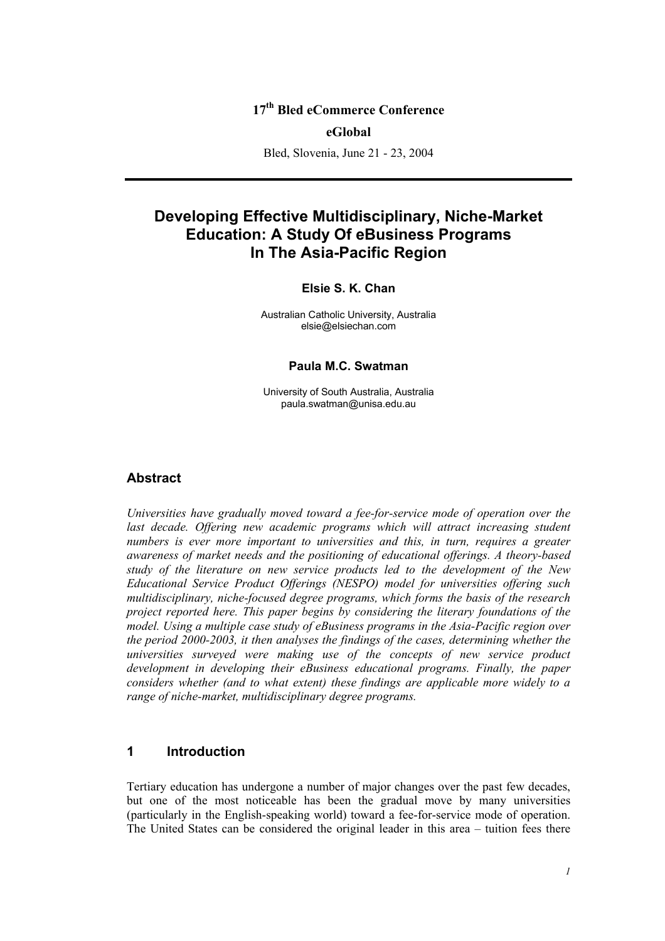## **17th Bled eCommerce Conference**

#### **eGlobal**

Bled, Slovenia, June 21 - 23, 2004

# **Developing Effective Multidisciplinary, Niche-Market Education: A Study Of eBusiness Programs In The Asia-Pacific Region**

#### **Elsie S. K. Chan**

Australian Catholic University, Australia elsie@elsiechan.com

#### **Paula M.C. Swatman**

University of South Australia, Australia paula.swatman@unisa.edu.au

#### **Abstract**

*Universities have gradually moved toward a fee-for-service mode of operation over the last decade. Offering new academic programs which will attract increasing student numbers is ever more important to universities and this, in turn, requires a greater awareness of market needs and the positioning of educational offerings. A theory-based study of the literature on new service products led to the development of the New Educational Service Product Offerings (NESPO) model for universities offering such multidisciplinary, niche-focused degree programs, which forms the basis of the research project reported here. This paper begins by considering the literary foundations of the model. Using a multiple case study of eBusiness programs in the Asia-Pacific region over the period 2000-2003, it then analyses the findings of the cases, determining whether the universities surveyed were making use of the concepts of new service product development in developing their eBusiness educational programs. Finally, the paper considers whether (and to what extent) these findings are applicable more widely to a range of niche-market, multidisciplinary degree programs.* 

## **1 Introduction**

Tertiary education has undergone a number of major changes over the past few decades, but one of the most noticeable has been the gradual move by many universities (particularly in the English-speaking world) toward a fee-for-service mode of operation. The United States can be considered the original leader in this area – tuition fees there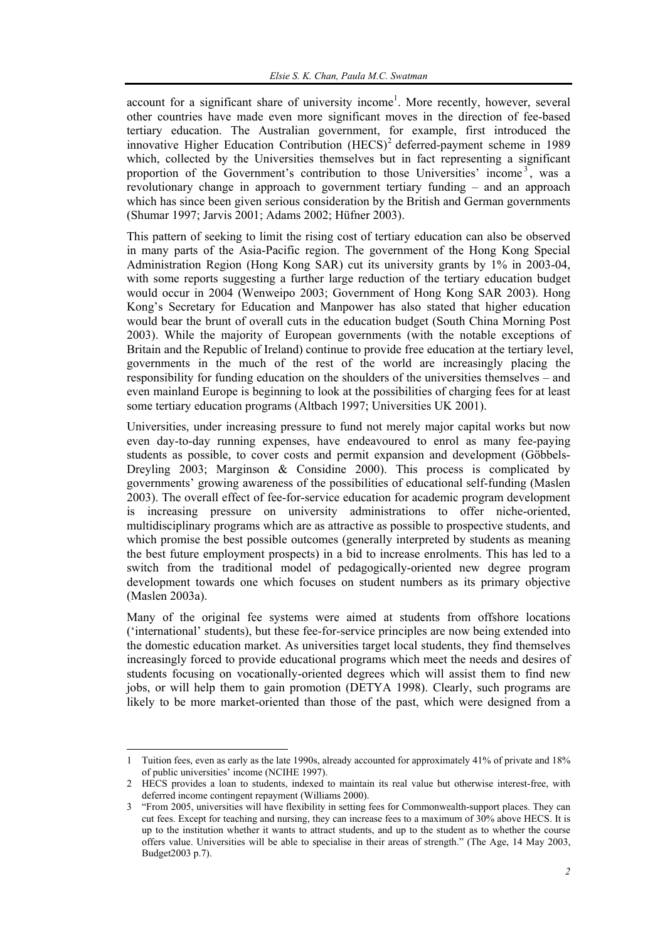account for a significant share of university income<sup>1</sup>. More recently, however, several other countries have made even more significant moves in the direction of fee-based tertiary education. The Australian government, for example, first introduced the innovative Higher Education Contribution  $(HECS)^2$  deferred-payment scheme in 1989 which, collected by the Universities themselves but in fact representing a significant proportion of the Government's contribution to those Universities' income<sup>3</sup>, was a revolutionary change in approach to government tertiary funding – and an approach which has since been given serious consideration by the British and German governments (Shumar 1997; Jarvis 2001; Adams 2002; Hüfner 2003).

This pattern of seeking to limit the rising cost of tertiary education can also be observed in many parts of the Asia-Pacific region. The government of the Hong Kong Special Administration Region (Hong Kong SAR) cut its university grants by 1% in 2003-04, with some reports suggesting a further large reduction of the tertiary education budget would occur in 2004 (Wenweipo 2003; Government of Hong Kong SAR 2003). Hong Kong's Secretary for Education and Manpower has also stated that higher education would bear the brunt of overall cuts in the education budget (South China Morning Post 2003). While the majority of European governments (with the notable exceptions of Britain and the Republic of Ireland) continue to provide free education at the tertiary level, governments in the much of the rest of the world are increasingly placing the responsibility for funding education on the shoulders of the universities themselves – and even mainland Europe is beginning to look at the possibilities of charging fees for at least some tertiary education programs (Altbach 1997; Universities UK 2001).

Universities, under increasing pressure to fund not merely major capital works but now even day-to-day running expenses, have endeavoured to enrol as many fee-paying students as possible, to cover costs and permit expansion and development (Göbbels-Dreyling 2003; Marginson & Considine 2000). This process is complicated by governments' growing awareness of the possibilities of educational self-funding (Maslen 2003). The overall effect of fee-for-service education for academic program development is increasing pressure on university administrations to offer niche-oriented, multidisciplinary programs which are as attractive as possible to prospective students, and which promise the best possible outcomes (generally interpreted by students as meaning the best future employment prospects) in a bid to increase enrolments. This has led to a switch from the traditional model of pedagogically-oriented new degree program development towards one which focuses on student numbers as its primary objective (Maslen 2003a).

Many of the original fee systems were aimed at students from offshore locations ('international' students), but these fee-for-service principles are now being extended into the domestic education market. As universities target local students, they find themselves increasingly forced to provide educational programs which meet the needs and desires of students focusing on vocationally-oriented degrees which will assist them to find new jobs, or will help them to gain promotion (DETYA 1998). Clearly, such programs are likely to be more market-oriented than those of the past, which were designed from a

l 1 Tuition fees, even as early as the late 1990s, already accounted for approximately 41% of private and 18% of public universities' income (NCIHE 1997).

<sup>2</sup> HECS provides a loan to students, indexed to maintain its real value but otherwise interest-free, with deferred income contingent repayment (Williams 2000).

<sup>3 &</sup>quot;From 2005, universities will have flexibility in setting fees for Commonwealth-support places. They can cut fees. Except for teaching and nursing, they can increase fees to a maximum of 30% above HECS. It is up to the institution whether it wants to attract students, and up to the student as to whether the course offers value. Universities will be able to specialise in their areas of strength." (The Age, 14 May 2003, Budget2003 p.7).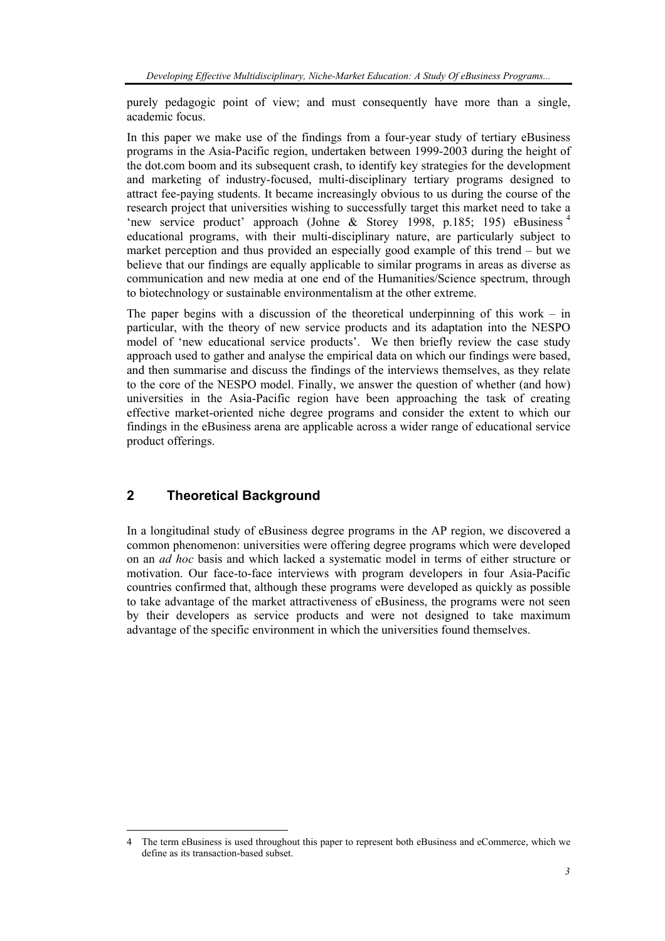purely pedagogic point of view; and must consequently have more than a single, academic focus.

In this paper we make use of the findings from a four-year study of tertiary eBusiness programs in the Asia-Pacific region, undertaken between 1999-2003 during the height of the dot.com boom and its subsequent crash, to identify key strategies for the development and marketing of industry-focused, multi-disciplinary tertiary programs designed to attract fee-paying students. It became increasingly obvious to us during the course of the research project that universities wishing to successfully target this market need to take a 'new service product' approach (Johne & Storey 1998, p.185; 195) eBusiness <sup>4</sup> educational programs, with their multi-disciplinary nature, are particularly subject to market perception and thus provided an especially good example of this trend – but we believe that our findings are equally applicable to similar programs in areas as diverse as communication and new media at one end of the Humanities/Science spectrum, through to biotechnology or sustainable environmentalism at the other extreme.

The paper begins with a discussion of the theoretical underpinning of this work – in particular, with the theory of new service products and its adaptation into the NESPO model of 'new educational service products'. We then briefly review the case study approach used to gather and analyse the empirical data on which our findings were based, and then summarise and discuss the findings of the interviews themselves, as they relate to the core of the NESPO model. Finally, we answer the question of whether (and how) universities in the Asia-Pacific region have been approaching the task of creating effective market-oriented niche degree programs and consider the extent to which our findings in the eBusiness arena are applicable across a wider range of educational service product offerings.

## **2 Theoretical Background**

In a longitudinal study of eBusiness degree programs in the AP region, we discovered a common phenomenon: universities were offering degree programs which were developed on an *ad hoc* basis and which lacked a systematic model in terms of either structure or motivation. Our face-to-face interviews with program developers in four Asia-Pacific countries confirmed that, although these programs were developed as quickly as possible to take advantage of the market attractiveness of eBusiness, the programs were not seen by their developers as service products and were not designed to take maximum advantage of the specific environment in which the universities found themselves.

 $\overline{a}$ 4 The term eBusiness is used throughout this paper to represent both eBusiness and eCommerce, which we define as its transaction-based subset.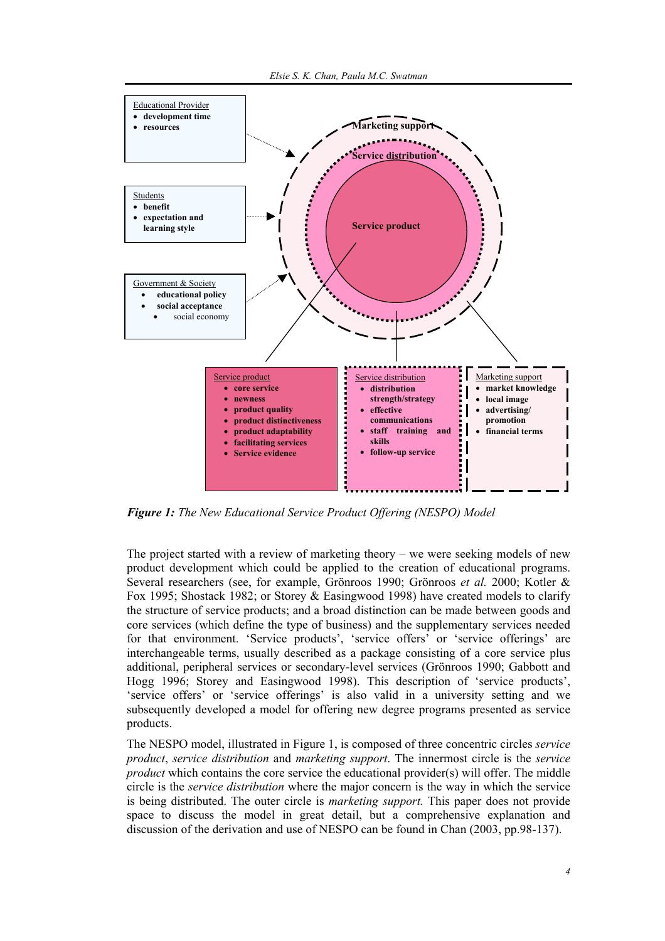

*Figure 1: The New Educational Service Product Offering (NESPO) Model* 

The project started with a review of marketing theory – we were seeking models of new product development which could be applied to the creation of educational programs. Several researchers (see, for example, Grönroos 1990; Grönroos *et al.* 2000; Kotler & Fox 1995; Shostack 1982; or Storey & Easingwood 1998) have created models to clarify the structure of service products; and a broad distinction can be made between goods and core services (which define the type of business) and the supplementary services needed for that environment. 'Service products', 'service offers' or 'service offerings' are interchangeable terms, usually described as a package consisting of a core service plus additional, peripheral services or secondary-level services (Grönroos 1990; Gabbott and Hogg 1996; Storey and Easingwood 1998). This description of 'service products', 'service offers' or 'service offerings' is also valid in a university setting and we subsequently developed a model for offering new degree programs presented as service products.

The NESPO model, illustrated in Figure 1, is composed of three concentric circles *service product*, *service distribution* and *marketing support*. The innermost circle is the *service product* which contains the core service the educational provider(s) will offer. The middle circle is the *service distribution* where the major concern is the way in which the service is being distributed. The outer circle is *marketing support.* This paper does not provide space to discuss the model in great detail, but a comprehensive explanation and discussion of the derivation and use of NESPO can be found in Chan (2003, pp.98-137).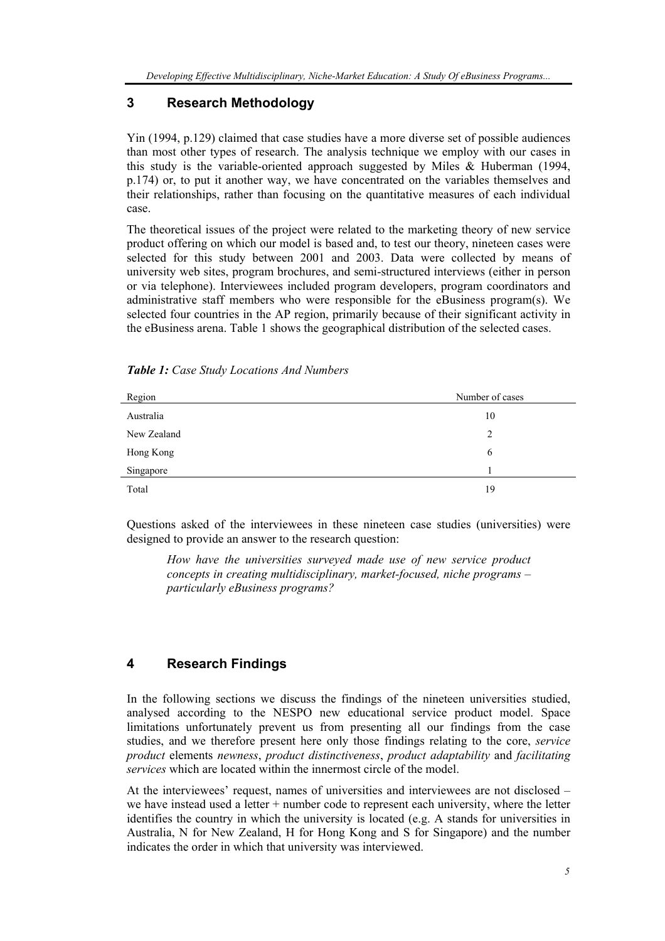## **3 Research Methodology**

Yin (1994, p.129) claimed that case studies have a more diverse set of possible audiences than most other types of research. The analysis technique we employ with our cases in this study is the variable-oriented approach suggested by Miles & Huberman (1994, p.174) or, to put it another way, we have concentrated on the variables themselves and their relationships, rather than focusing on the quantitative measures of each individual case.

The theoretical issues of the project were related to the marketing theory of new service product offering on which our model is based and, to test our theory, nineteen cases were selected for this study between 2001 and 2003. Data were collected by means of university web sites, program brochures, and semi-structured interviews (either in person or via telephone). Interviewees included program developers, program coordinators and administrative staff members who were responsible for the eBusiness program(s). We selected four countries in the AP region, primarily because of their significant activity in the eBusiness arena. Table 1 shows the geographical distribution of the selected cases.

| Region      | Number of cases |
|-------------|-----------------|
| Australia   | 10              |
| New Zealand | 2               |
| Hong Kong   | 6               |
| Singapore   |                 |
| Total       | 19              |

*Table 1: Case Study Locations And Numbers* 

Questions asked of the interviewees in these nineteen case studies (universities) were designed to provide an answer to the research question:

*How have the universities surveyed made use of new service product concepts in creating multidisciplinary, market-focused, niche programs – particularly eBusiness programs?* 

## **4 Research Findings**

In the following sections we discuss the findings of the nineteen universities studied, analysed according to the NESPO new educational service product model. Space limitations unfortunately prevent us from presenting all our findings from the case studies, and we therefore present here only those findings relating to the core, *service product* elements *newness*, *product distinctiveness*, *product adaptability* and *facilitating services* which are located within the innermost circle of the model.

At the interviewees' request, names of universities and interviewees are not disclosed – we have instead used a letter + number code to represent each university, where the letter identifies the country in which the university is located (e.g. A stands for universities in Australia, N for New Zealand, H for Hong Kong and S for Singapore) and the number indicates the order in which that university was interviewed.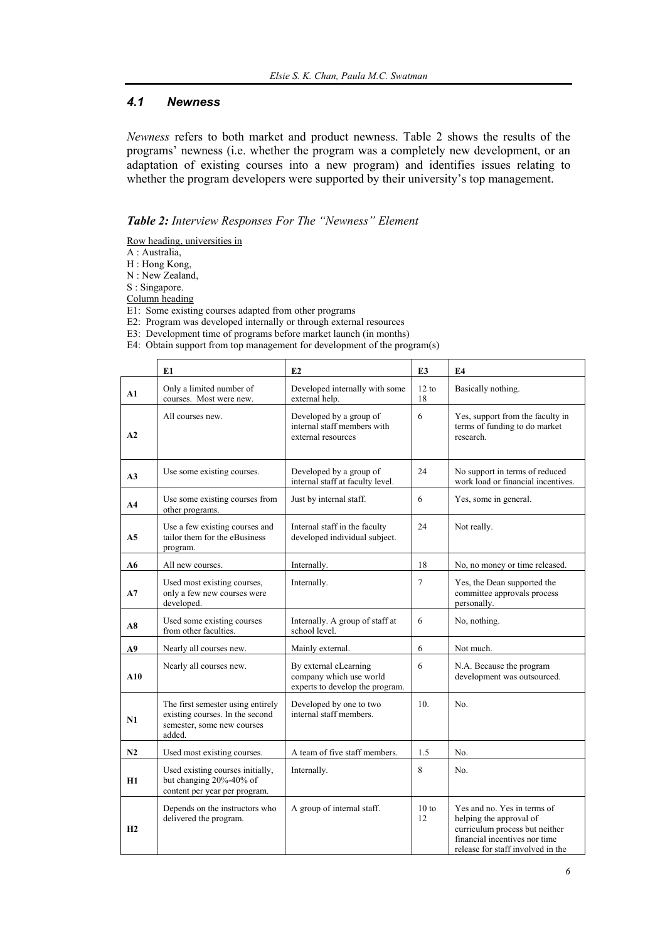## *4.1 Newness*

*Newness* refers to both market and product newness. Table 2 shows the results of the programs' newness (i.e. whether the program was a completely new development, or an adaptation of existing courses into a new program) and identifies issues relating to whether the program developers were supported by their university's top management.

#### *Table 2: Interview Responses For The "Newness" Element*

Row heading, universities in

A : Australia,

H : Hong Kong,

N : New Zealand,

S : Singapore.

Column heading

E1: Some existing courses adapted from other programs

E2: Program was developed internally or through external resources

E3: Development time of programs before market launch (in months)

E4: Obtain support from top management for development of the program(s)

|                | E1                                                                                                           | E <sub>2</sub>                                                                      | E <sub>3</sub> | E <sub>4</sub>                                                                                                                                                 |
|----------------|--------------------------------------------------------------------------------------------------------------|-------------------------------------------------------------------------------------|----------------|----------------------------------------------------------------------------------------------------------------------------------------------------------------|
| ${\bf A1}$     | Only a limited number of<br>courses. Most were new.                                                          | Developed internally with some<br>external help.                                    | 12 to<br>18    | Basically nothing.                                                                                                                                             |
| A2             | All courses new.                                                                                             | Developed by a group of<br>internal staff members with<br>external resources        | 6              | Yes, support from the faculty in<br>terms of funding to do market<br>research.                                                                                 |
| A <sub>3</sub> | Use some existing courses.                                                                                   | Developed by a group of<br>internal staff at faculty level.                         | 24             | No support in terms of reduced<br>work load or financial incentives.                                                                                           |
| A <sub>4</sub> | Use some existing courses from<br>other programs.                                                            | Just by internal staff.                                                             | 6              | Yes, some in general.                                                                                                                                          |
| A <sub>5</sub> | Use a few existing courses and<br>tailor them for the eBusiness<br>program.                                  | Internal staff in the faculty<br>developed individual subject.                      | 24             | Not really.                                                                                                                                                    |
| A6             | All new courses.                                                                                             | Internally.                                                                         | 18             | No, no money or time released.                                                                                                                                 |
| A7             | Used most existing courses,<br>only a few new courses were<br>developed.                                     | Internally.                                                                         | 7              | Yes, the Dean supported the<br>committee approvals process<br>personally.                                                                                      |
| A8             | Used some existing courses<br>from other faculties.                                                          | Internally. A group of staff at<br>school level.                                    | 6              | No, nothing.                                                                                                                                                   |
| A9             | Nearly all courses new.                                                                                      | Mainly external.                                                                    | 6              | Not much.                                                                                                                                                      |
| ${\bf A10}$    | Nearly all courses new.                                                                                      | By external eLearning<br>company which use world<br>experts to develop the program. | 6              | N.A. Because the program<br>development was outsourced.                                                                                                        |
| N1             | The first semester using entirely<br>existing courses. In the second<br>semester, some new courses<br>added. | Developed by one to two<br>internal staff members.                                  |                | No.                                                                                                                                                            |
| N2             | Used most existing courses.                                                                                  | A team of five staff members.                                                       | 1.5            | No.                                                                                                                                                            |
| <b>H1</b>      | Used existing courses initially,<br>but changing 20%-40% of<br>content per year per program.                 | Internally.                                                                         | 8              | No.                                                                                                                                                            |
| H2             | Depends on the instructors who<br>delivered the program.                                                     | A group of internal staff.                                                          | 10 to<br>12    | Yes and no. Yes in terms of<br>helping the approval of<br>curriculum process but neither<br>financial incentives nor time<br>release for staff involved in the |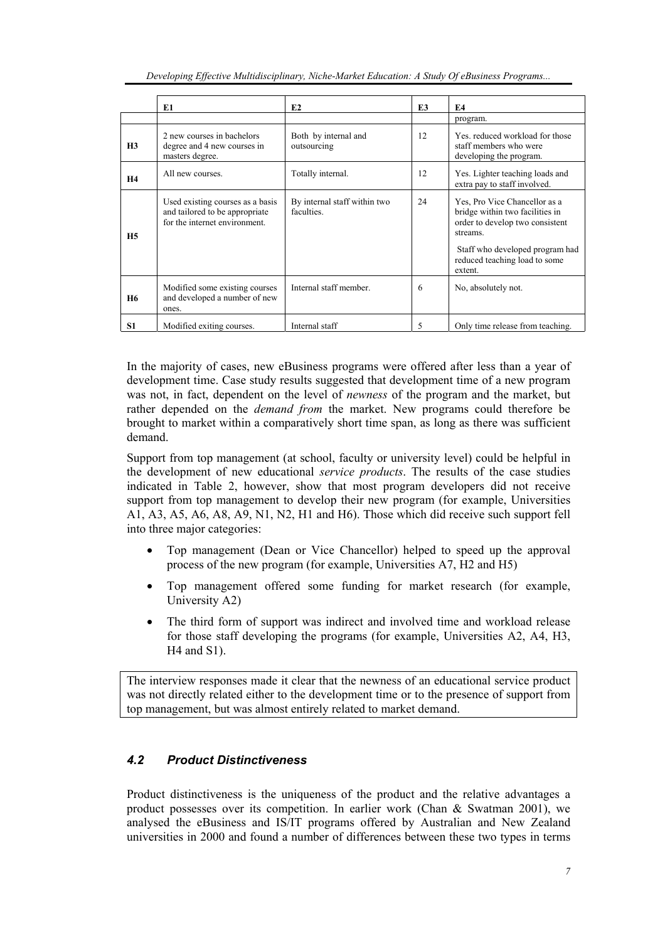| Developing Effective Multidisciplinary, Niche-Market Education: A Study Of eBusiness Programs |  |
|-----------------------------------------------------------------------------------------------|--|
|-----------------------------------------------------------------------------------------------|--|

|                | E1                                                                                                  | E2                                         | E <sub>3</sub> | E <sub>4</sub>                                                                                                                                                                                 |
|----------------|-----------------------------------------------------------------------------------------------------|--------------------------------------------|----------------|------------------------------------------------------------------------------------------------------------------------------------------------------------------------------------------------|
|                |                                                                                                     |                                            |                | program.                                                                                                                                                                                       |
| H <sub>3</sub> | 2 new courses in bachelors<br>degree and 4 new courses in<br>masters degree.                        | Both by internal and<br>outsourcing        | 12             | Yes, reduced workload for those<br>staff members who were<br>developing the program.                                                                                                           |
| H <sub>4</sub> | All new courses.                                                                                    | Totally internal.                          | 12             | Yes. Lighter teaching loads and<br>extra pay to staff involved.                                                                                                                                |
| H <sub>5</sub> | Used existing courses as a basis<br>and tailored to be appropriate<br>for the internet environment. | By internal staff within two<br>faculties. | 24             | Yes, Pro Vice Chancellor as a<br>bridge within two facilities in<br>order to develop two consistent<br>streams.<br>Staff who developed program had<br>reduced teaching load to some<br>extent. |
| <b>H6</b>      | Modified some existing courses<br>and developed a number of new<br>ones.                            | Internal staff member.                     | 6              | No, absolutely not.                                                                                                                                                                            |
| <b>S1</b>      | Modified exiting courses.                                                                           | Internal staff                             | 5              | Only time release from teaching.                                                                                                                                                               |

In the majority of cases, new eBusiness programs were offered after less than a year of development time. Case study results suggested that development time of a new program was not, in fact, dependent on the level of *newness* of the program and the market, but rather depended on the *demand from* the market. New programs could therefore be brought to market within a comparatively short time span, as long as there was sufficient demand.

Support from top management (at school, faculty or university level) could be helpful in the development of new educational *service products*. The results of the case studies indicated in Table 2, however, show that most program developers did not receive support from top management to develop their new program (for example, Universities A1, A3, A5, A6, A8, A9, N1, N2, H1 and H6). Those which did receive such support fell into three major categories:

- Top management (Dean or Vice Chancellor) helped to speed up the approval process of the new program (for example, Universities A7, H2 and H5)
- Top management offered some funding for market research (for example, University A2)
- The third form of support was indirect and involved time and workload release for those staff developing the programs (for example, Universities A2, A4, H3, H4 and S1).

The interview responses made it clear that the newness of an educational service product was not directly related either to the development time or to the presence of support from top management, but was almost entirely related to market demand.

## *4.2 Product Distinctiveness*

Product distinctiveness is the uniqueness of the product and the relative advantages a product possesses over its competition. In earlier work (Chan & Swatman 2001), we analysed the eBusiness and IS/IT programs offered by Australian and New Zealand universities in 2000 and found a number of differences between these two types in terms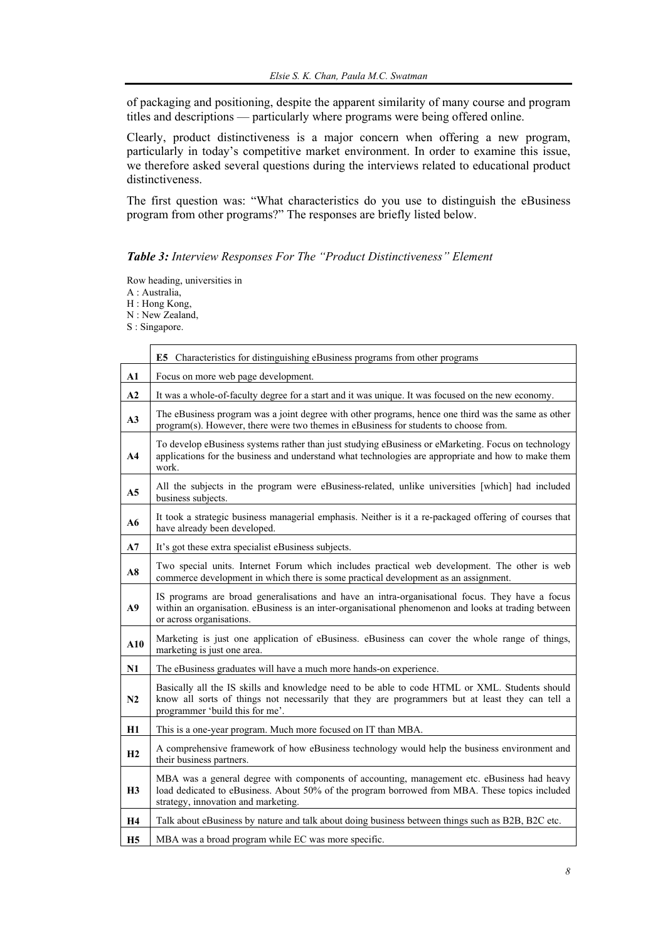of packaging and positioning, despite the apparent similarity of many course and program titles and descriptions — particularly where programs were being offered online.

Clearly, product distinctiveness is a major concern when offering a new program, particularly in today's competitive market environment. In order to examine this issue, we therefore asked several questions during the interviews related to educational product distinctiveness.

The first question was: "What characteristics do you use to distinguish the eBusiness program from other programs?" The responses are briefly listed below.

## *Table 3: Interview Responses For The "Product Distinctiveness" Element*

Row heading, universities in

A : Australia,

H : Hong Kong,

N : New Zealand,

S : Singapore.

|                | E5 Characteristics for distinguishing eBusiness programs from other programs                                                                                                                                                         |  |  |
|----------------|--------------------------------------------------------------------------------------------------------------------------------------------------------------------------------------------------------------------------------------|--|--|
| A1             | Focus on more web page development.                                                                                                                                                                                                  |  |  |
| A2             | It was a whole-of-faculty degree for a start and it was unique. It was focused on the new economy.                                                                                                                                   |  |  |
| A3             | The eBusiness program was a joint degree with other programs, hence one third was the same as other<br>program(s). However, there were two themes in eBusiness for students to choose from.                                          |  |  |
| A4             | To develop eBusiness systems rather than just studying eBusiness or eMarketing. Focus on technology<br>applications for the business and understand what technologies are appropriate and how to make them<br>work.                  |  |  |
| A <sub>5</sub> | All the subjects in the program were eBusiness-related, unlike universities [which] had included<br>business subjects.                                                                                                               |  |  |
| A6             | It took a strategic business managerial emphasis. Neither is it a re-packaged offering of courses that<br>have already been developed.                                                                                               |  |  |
| A7             | It's got these extra specialist eBusiness subjects.                                                                                                                                                                                  |  |  |
| A8             | Two special units. Internet Forum which includes practical web development. The other is web<br>commerce development in which there is some practical development as an assignment.                                                  |  |  |
| A9             | IS programs are broad generalisations and have an intra-organisational focus. They have a focus<br>within an organisation. eBusiness is an inter-organisational phenomenon and looks at trading between<br>or across organisations.  |  |  |
| A10            | Marketing is just one application of eBusiness. eBusiness can cover the whole range of things,<br>marketing is just one area.                                                                                                        |  |  |
| N1             | The eBusiness graduates will have a much more hands-on experience.                                                                                                                                                                   |  |  |
| N <sub>2</sub> | Basically all the IS skills and knowledge need to be able to code HTML or XML. Students should<br>know all sorts of things not necessarily that they are programmers but at least they can tell a<br>programmer 'build this for me'. |  |  |
| Η1             | This is a one-year program. Much more focused on IT than MBA.                                                                                                                                                                        |  |  |
| H2             | A comprehensive framework of how eBusiness technology would help the business environment and<br>their business partners.                                                                                                            |  |  |
| H3             | MBA was a general degree with components of accounting, management etc. eBusiness had heavy<br>load dedicated to eBusiness. About 50% of the program borrowed from MBA. These topics included<br>strategy, innovation and marketing. |  |  |
| <b>H4</b>      | Talk about eBusiness by nature and talk about doing business between things such as B2B, B2C etc.                                                                                                                                    |  |  |
| <b>H5</b>      | MBA was a broad program while EC was more specific.                                                                                                                                                                                  |  |  |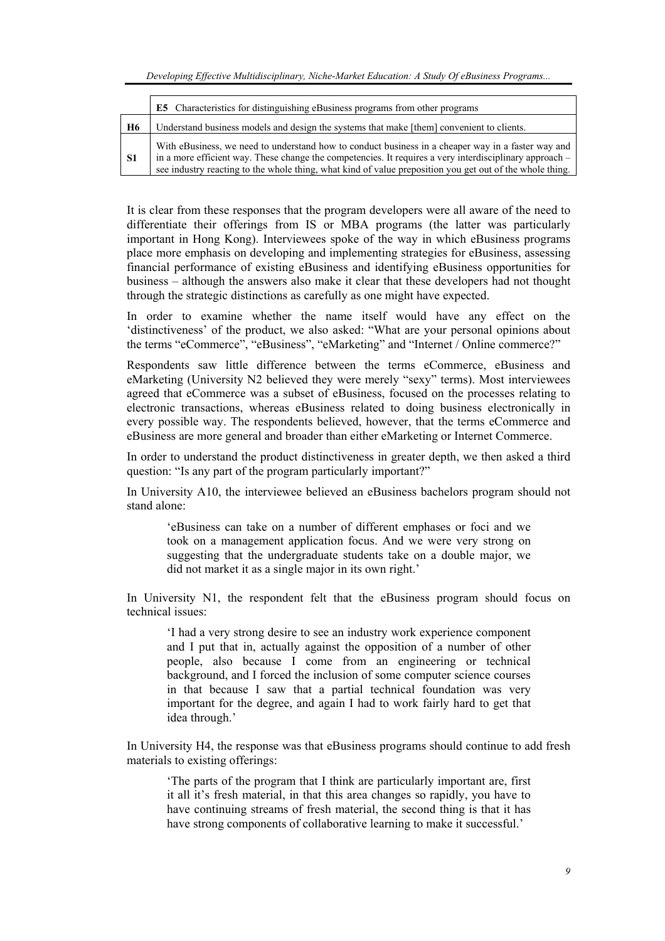*Developing Effective Multidisciplinary, Niche-Market Education: A Study Of eBusiness Programs...* 

|                | E5 Characteristics for distinguishing eBusiness programs from other programs                                                                                                                                                                                                                                              |  |  |
|----------------|---------------------------------------------------------------------------------------------------------------------------------------------------------------------------------------------------------------------------------------------------------------------------------------------------------------------------|--|--|
| <b>H6</b>      | Understand business models and design the systems that make [them] convenient to clients.                                                                                                                                                                                                                                 |  |  |
| S <sub>1</sub> | With eBusiness, we need to understand how to conduct business in a cheaper way in a faster way and<br>in a more efficient way. These change the competencies. It requires a very interdisciplinary approach –<br>see industry reacting to the whole thing, what kind of value preposition you get out of the whole thing. |  |  |

It is clear from these responses that the program developers were all aware of the need to differentiate their offerings from IS or MBA programs (the latter was particularly important in Hong Kong). Interviewees spoke of the way in which eBusiness programs place more emphasis on developing and implementing strategies for eBusiness, assessing financial performance of existing eBusiness and identifying eBusiness opportunities for business – although the answers also make it clear that these developers had not thought through the strategic distinctions as carefully as one might have expected.

In order to examine whether the name itself would have any effect on the 'distinctiveness' of the product, we also asked: "What are your personal opinions about the terms "eCommerce", "eBusiness", "eMarketing" and "Internet / Online commerce?"

Respondents saw little difference between the terms eCommerce, eBusiness and eMarketing (University N2 believed they were merely "sexy" terms). Most interviewees agreed that eCommerce was a subset of eBusiness, focused on the processes relating to electronic transactions, whereas eBusiness related to doing business electronically in every possible way. The respondents believed, however, that the terms eCommerce and eBusiness are more general and broader than either eMarketing or Internet Commerce.

In order to understand the product distinctiveness in greater depth, we then asked a third question: "Is any part of the program particularly important?"

In University A10, the interviewee believed an eBusiness bachelors program should not stand alone:

'eBusiness can take on a number of different emphases or foci and we took on a management application focus. And we were very strong on suggesting that the undergraduate students take on a double major, we did not market it as a single major in its own right.'

In University N1, the respondent felt that the eBusiness program should focus on technical issues:

'I had a very strong desire to see an industry work experience component and I put that in, actually against the opposition of a number of other people, also because I come from an engineering or technical background, and I forced the inclusion of some computer science courses in that because I saw that a partial technical foundation was very important for the degree, and again I had to work fairly hard to get that idea through.'

In University H4, the response was that eBusiness programs should continue to add fresh materials to existing offerings:

'The parts of the program that I think are particularly important are, first it all it's fresh material, in that this area changes so rapidly, you have to have continuing streams of fresh material, the second thing is that it has have strong components of collaborative learning to make it successful.'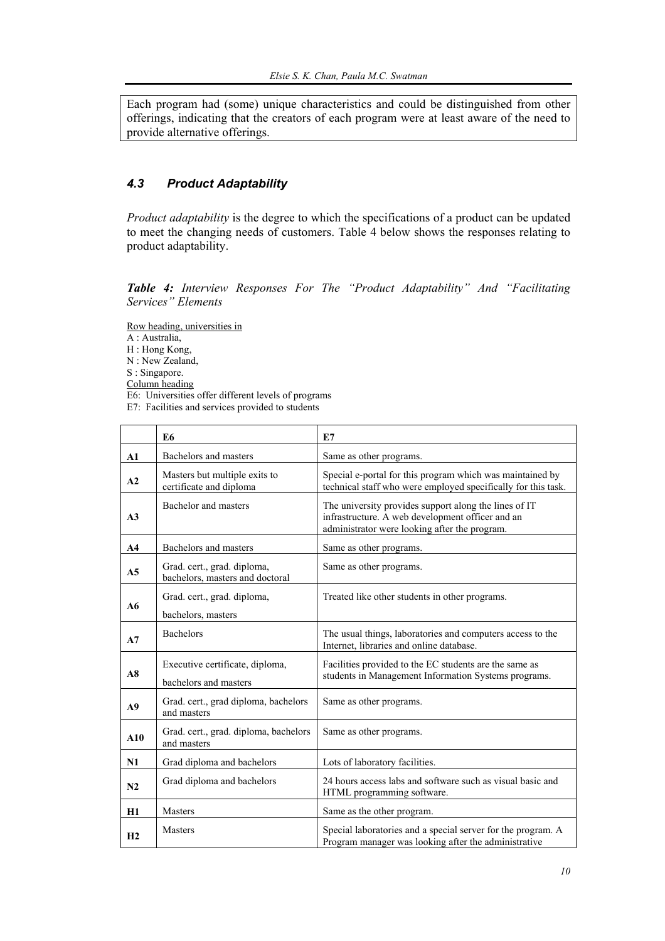Each program had (some) unique characteristics and could be distinguished from other offerings, indicating that the creators of each program were at least aware of the need to provide alternative offerings.

## *4.3 Product Adaptability*

*Product adaptability* is the degree to which the specifications of a product can be updated to meet the changing needs of customers. Table 4 below shows the responses relating to product adaptability.

*Table 4: Interview Responses For The "Product Adaptability" And "Facilitating Services" Elements* 

Row heading, universities in

A : Australia,

- H : Hong Kong,
- N : New Zealand,

S : Singapore.

Column heading

- E6: Universities offer different levels of programs
- E7: Facilities and services provided to students

|                | E <sub>6</sub>                                                 | E7                                                                                                                                                         |
|----------------|----------------------------------------------------------------|------------------------------------------------------------------------------------------------------------------------------------------------------------|
| $\mathbf{A1}$  | Bachelors and masters                                          | Same as other programs.                                                                                                                                    |
| A2             | Masters but multiple exits to<br>certificate and diploma       | Special e-portal for this program which was maintained by<br>technical staff who were employed specifically for this task.                                 |
| A <sub>3</sub> | Bachelor and masters                                           | The university provides support along the lines of IT<br>infrastructure. A web development officer and an<br>administrator were looking after the program. |
| A <sub>4</sub> | Bachelors and masters                                          | Same as other programs.                                                                                                                                    |
| A <sub>5</sub> | Grad. cert., grad. diploma,<br>bachelors, masters and doctoral | Same as other programs.                                                                                                                                    |
|                | Grad. cert., grad. diploma,                                    | Treated like other students in other programs.                                                                                                             |
| A6             | bachelors, masters                                             |                                                                                                                                                            |
| A7             | <b>Bachelors</b>                                               | The usual things, laboratories and computers access to the<br>Internet, libraries and online database.                                                     |
| A8             | Executive certificate, diploma,<br>bachelors and masters       | Facilities provided to the EC students are the same as<br>students in Management Information Systems programs.                                             |
| A <sub>9</sub> | Grad. cert., grad diploma, bachelors<br>and masters            | Same as other programs.                                                                                                                                    |
| A10            | Grad. cert., grad. diploma, bachelors<br>and masters           | Same as other programs.                                                                                                                                    |
| N1             | Grad diploma and bachelors                                     | Lots of laboratory facilities.                                                                                                                             |
| N2             | Grad diploma and bachelors                                     | 24 hours access labs and software such as visual basic and<br>HTML programming software.                                                                   |
| H1             | <b>Masters</b>                                                 | Same as the other program.                                                                                                                                 |
| H <sub>2</sub> | <b>Masters</b>                                                 | Special laboratories and a special server for the program. A<br>Program manager was looking after the administrative                                       |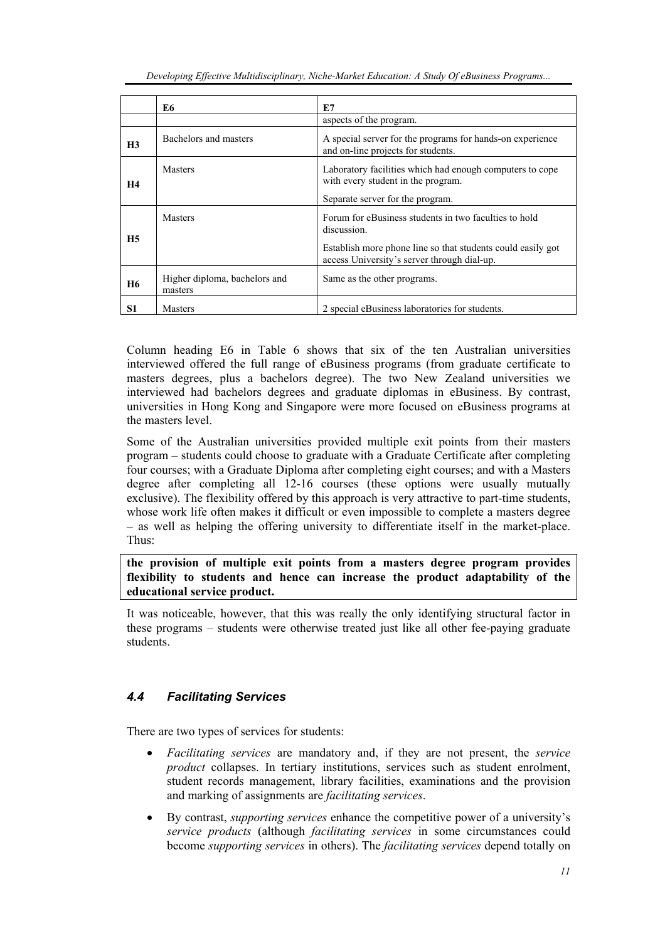|                | E6                                       | E.7                                                                                                                                                                                |
|----------------|------------------------------------------|------------------------------------------------------------------------------------------------------------------------------------------------------------------------------------|
|                |                                          | aspects of the program.                                                                                                                                                            |
| H <sub>3</sub> | Bachelors and masters                    | A special server for the programs for hands-on experience<br>and on-line projects for students.                                                                                    |
| <b>H4</b>      | <b>Masters</b>                           | Laboratory facilities which had enough computers to cope<br>with every student in the program.<br>Separate server for the program.                                                 |
| H <sub>5</sub> | <b>Masters</b>                           | Forum for eBusiness students in two faculties to hold<br>discussion.<br>Establish more phone line so that students could easily got<br>access University's server through dial-up. |
| <b>H6</b>      | Higher diploma, bachelors and<br>masters | Same as the other programs.                                                                                                                                                        |
| S1             | <b>Masters</b>                           | 2 special eBusiness laboratories for students.                                                                                                                                     |

Column heading E6 in Table 6 shows that six of the ten Australian universities interviewed offered the full range of eBusiness programs (from graduate certificate to masters degrees, plus a bachelors degree). The two New Zealand universities we interviewed had bachelors degrees and graduate diplomas in eBusiness. By contrast, universities in Hong Kong and Singapore were more focused on eBusiness programs at the masters level.

Some of the Australian universities provided multiple exit points from their masters program – students could choose to graduate with a Graduate Certificate after completing four courses; with a Graduate Diploma after completing eight courses; and with a Masters degree after completing all 12-16 courses (these options were usually mutually exclusive). The flexibility offered by this approach is very attractive to part-time students, whose work life often makes it difficult or even impossible to complete a masters degree – as well as helping the offering university to differentiate itself in the market-place. Thus:

### **the provision of multiple exit points from a masters degree program provides flexibility to students and hence can increase the product adaptability of the educational service product.**

It was noticeable, however, that this was really the only identifying structural factor in these programs – students were otherwise treated just like all other fee-paying graduate students.

## *4.4 Facilitating Services*

There are two types of services for students:

- *Facilitating services* are mandatory and, if they are not present, the *service product* collapses. In tertiary institutions, services such as student enrolment, student records management, library facilities, examinations and the provision and marking of assignments are *facilitating services*.
- By contrast, *supporting services* enhance the competitive power of a university's *service products* (although *facilitating services* in some circumstances could become *supporting services* in others). The *facilitating services* depend totally on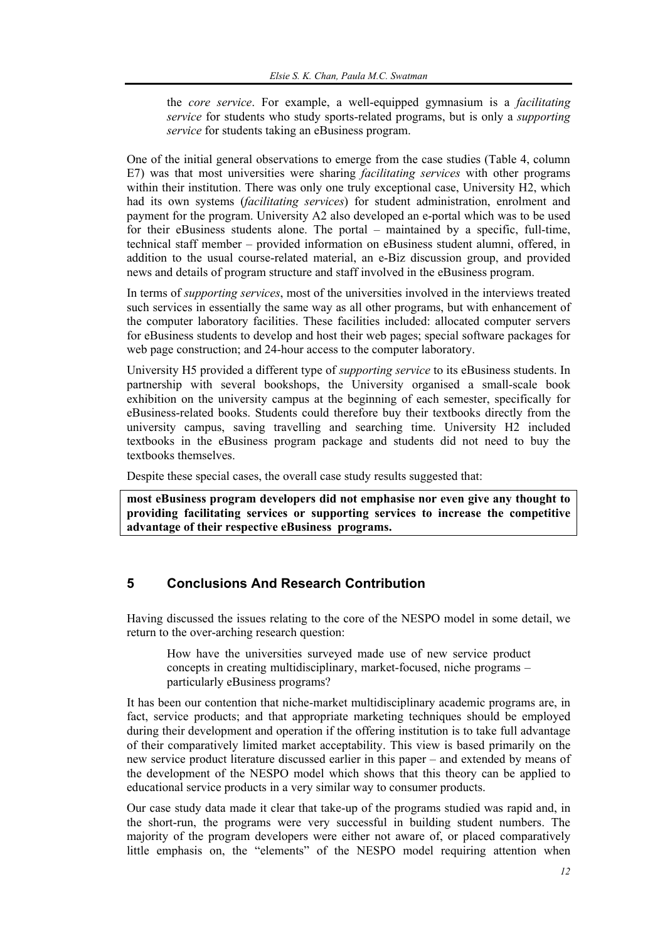the *core service*. For example, a well-equipped gymnasium is a *facilitating service* for students who study sports-related programs, but is only a *supporting service* for students taking an eBusiness program.

One of the initial general observations to emerge from the case studies (Table 4, column E7) was that most universities were sharing *facilitating services* with other programs within their institution. There was only one truly exceptional case, University H2, which had its own systems (*facilitating services*) for student administration, enrolment and payment for the program. University A2 also developed an e-portal which was to be used for their eBusiness students alone. The portal – maintained by a specific, full-time, technical staff member – provided information on eBusiness student alumni, offered, in addition to the usual course-related material, an e-Biz discussion group, and provided news and details of program structure and staff involved in the eBusiness program.

In terms of *supporting services*, most of the universities involved in the interviews treated such services in essentially the same way as all other programs, but with enhancement of the computer laboratory facilities. These facilities included: allocated computer servers for eBusiness students to develop and host their web pages; special software packages for web page construction; and 24-hour access to the computer laboratory.

University H5 provided a different type of *supporting service* to its eBusiness students. In partnership with several bookshops, the University organised a small-scale book exhibition on the university campus at the beginning of each semester, specifically for eBusiness-related books. Students could therefore buy their textbooks directly from the university campus, saving travelling and searching time. University H2 included textbooks in the eBusiness program package and students did not need to buy the textbooks themselves.

Despite these special cases, the overall case study results suggested that:

**most eBusiness program developers did not emphasise nor even give any thought to providing facilitating services or supporting services to increase the competitive advantage of their respective eBusiness programs.** 

## **5 Conclusions And Research Contribution**

Having discussed the issues relating to the core of the NESPO model in some detail, we return to the over-arching research question:

How have the universities surveyed made use of new service product concepts in creating multidisciplinary, market-focused, niche programs – particularly eBusiness programs?

It has been our contention that niche-market multidisciplinary academic programs are, in fact, service products; and that appropriate marketing techniques should be employed during their development and operation if the offering institution is to take full advantage of their comparatively limited market acceptability. This view is based primarily on the new service product literature discussed earlier in this paper – and extended by means of the development of the NESPO model which shows that this theory can be applied to educational service products in a very similar way to consumer products.

Our case study data made it clear that take-up of the programs studied was rapid and, in the short-run, the programs were very successful in building student numbers. The majority of the program developers were either not aware of, or placed comparatively little emphasis on, the "elements" of the NESPO model requiring attention when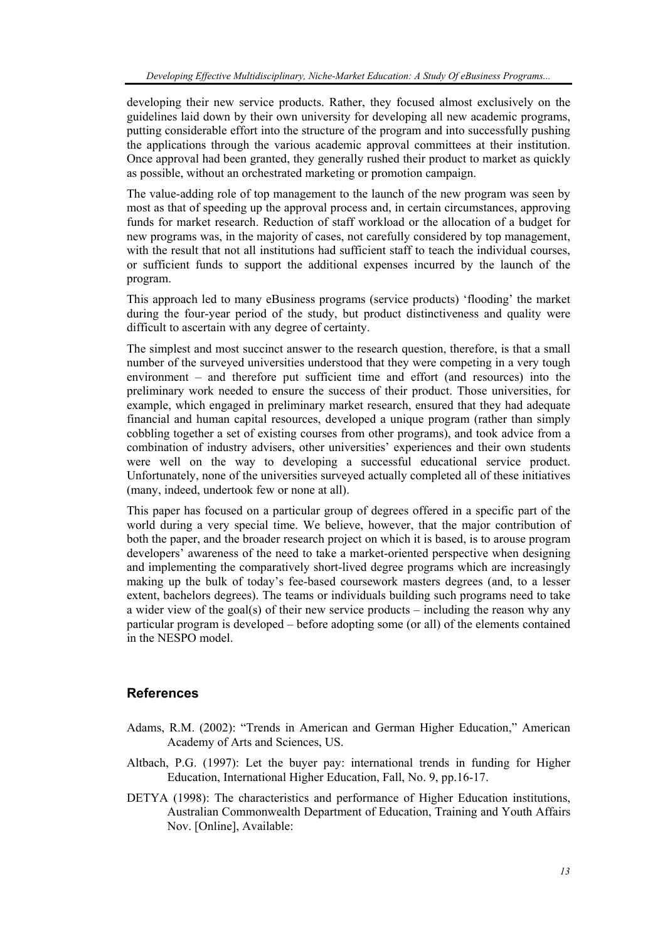developing their new service products. Rather, they focused almost exclusively on the guidelines laid down by their own university for developing all new academic programs, putting considerable effort into the structure of the program and into successfully pushing the applications through the various academic approval committees at their institution. Once approval had been granted, they generally rushed their product to market as quickly as possible, without an orchestrated marketing or promotion campaign.

The value-adding role of top management to the launch of the new program was seen by most as that of speeding up the approval process and, in certain circumstances, approving funds for market research. Reduction of staff workload or the allocation of a budget for new programs was, in the majority of cases, not carefully considered by top management, with the result that not all institutions had sufficient staff to teach the individual courses, or sufficient funds to support the additional expenses incurred by the launch of the program.

This approach led to many eBusiness programs (service products) 'flooding' the market during the four-year period of the study, but product distinctiveness and quality were difficult to ascertain with any degree of certainty.

The simplest and most succinct answer to the research question, therefore, is that a small number of the surveyed universities understood that they were competing in a very tough environment – and therefore put sufficient time and effort (and resources) into the preliminary work needed to ensure the success of their product. Those universities, for example, which engaged in preliminary market research, ensured that they had adequate financial and human capital resources, developed a unique program (rather than simply cobbling together a set of existing courses from other programs), and took advice from a combination of industry advisers, other universities' experiences and their own students were well on the way to developing a successful educational service product. Unfortunately, none of the universities surveyed actually completed all of these initiatives (many, indeed, undertook few or none at all).

This paper has focused on a particular group of degrees offered in a specific part of the world during a very special time. We believe, however, that the major contribution of both the paper, and the broader research project on which it is based, is to arouse program developers' awareness of the need to take a market-oriented perspective when designing and implementing the comparatively short-lived degree programs which are increasingly making up the bulk of today's fee-based coursework masters degrees (and, to a lesser extent, bachelors degrees). The teams or individuals building such programs need to take a wider view of the goal(s) of their new service products – including the reason why any particular program is developed – before adopting some (or all) of the elements contained in the NESPO model.

#### **References**

- Adams, R.M. (2002): "Trends in American and German Higher Education," American Academy of Arts and Sciences, US.
- Altbach, P.G. (1997): Let the buyer pay: international trends in funding for Higher Education, International Higher Education, Fall, No. 9, pp.16-17.
- DETYA (1998): The characteristics and performance of Higher Education institutions, Australian Commonwealth Department of Education, Training and Youth Affairs Nov. [Online], Available: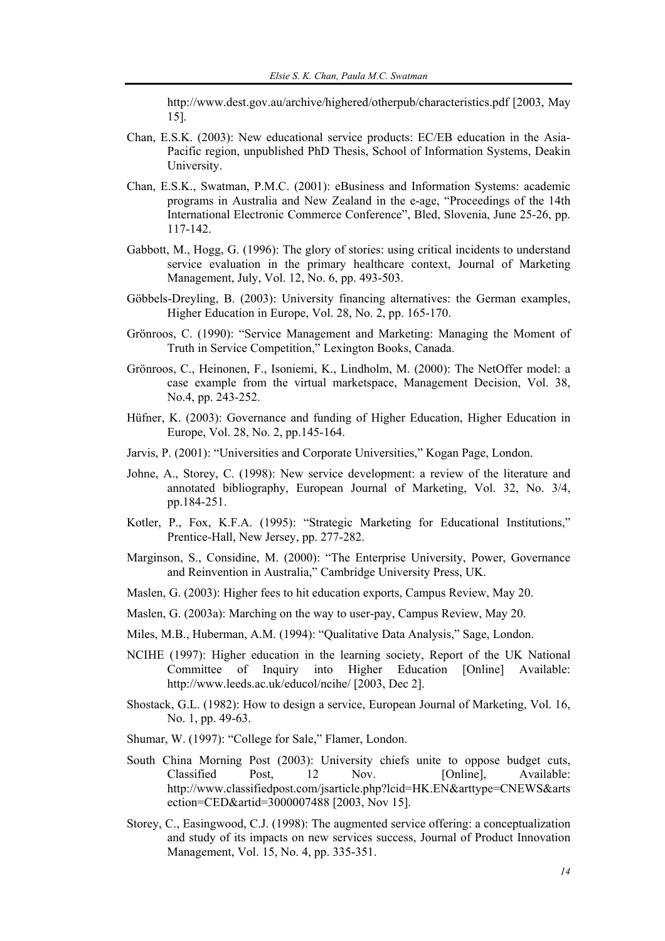http://www.dest.gov.au/archive/highered/otherpub/characteristics.pdf [2003, May 15].

- Chan, E.S.K. (2003): New educational service products: EC/EB education in the Asia-Pacific region, unpublished PhD Thesis, School of Information Systems, Deakin University.
- Chan, E.S.K., Swatman, P.M.C. (2001): eBusiness and Information Systems: academic programs in Australia and New Zealand in the e-age, "Proceedings of the 14th International Electronic Commerce Conference", Bled, Slovenia, June 25-26, pp. 117-142.
- Gabbott, M., Hogg, G. (1996): The glory of stories: using critical incidents to understand service evaluation in the primary healthcare context, Journal of Marketing Management, July, Vol. 12, No. 6, pp. 493-503.
- Göbbels-Dreyling, B. (2003): University financing alternatives: the German examples, Higher Education in Europe, Vol. 28, No. 2, pp. 165-170.
- Grönroos, C. (1990): "Service Management and Marketing: Managing the Moment of Truth in Service Competition," Lexington Books, Canada.
- Grönroos, C., Heinonen, F., Isoniemi, K., Lindholm, M. (2000): The NetOffer model: a case example from the virtual marketspace, Management Decision, Vol. 38, No.4, pp. 243-252.
- Hüfner, K. (2003): Governance and funding of Higher Education, Higher Education in Europe, Vol. 28, No. 2, pp.145-164.
- Jarvis, P. (2001): "Universities and Corporate Universities," Kogan Page, London.
- Johne, A., Storey, C. (1998): New service development: a review of the literature and annotated bibliography, European Journal of Marketing, Vol. 32, No. 3/4, pp.184-251.
- Kotler, P., Fox, K.F.A. (1995): "Strategic Marketing for Educational Institutions," Prentice-Hall, New Jersey, pp. 277-282.
- Marginson, S., Considine, M. (2000): "The Enterprise University, Power, Governance and Reinvention in Australia," Cambridge University Press, UK.
- Maslen, G. (2003): Higher fees to hit education exports, Campus Review, May 20.
- Maslen, G. (2003a): Marching on the way to user-pay, Campus Review, May 20.
- Miles, M.B., Huberman, A.M. (1994): "Qualitative Data Analysis," Sage, London.
- NCIHE (1997): Higher education in the learning society, Report of the UK National Committee of Inquiry into Higher Education [Online] Available: http://www.leeds.ac.uk/educol/ncihe/ [2003, Dec 2].
- Shostack, G.L. (1982): How to design a service, European Journal of Marketing, Vol. 16, No. 1, pp. 49-63.
- Shumar, W. (1997): "College for Sale," Flamer, London.
- South China Morning Post (2003): University chiefs unite to oppose budget cuts, Classified Post, 12 Nov. [Online], Available: http://www.classifiedpost.com/jsarticle.php?lcid=HK.EN&arttype=CNEWS&arts ection=CED&artid=3000007488 [2003, Nov 15].
- Storey, C., Easingwood, C.J. (1998): The augmented service offering: a conceptualization and study of its impacts on new services success, Journal of Product Innovation Management, Vol. 15, No. 4, pp. 335-351.